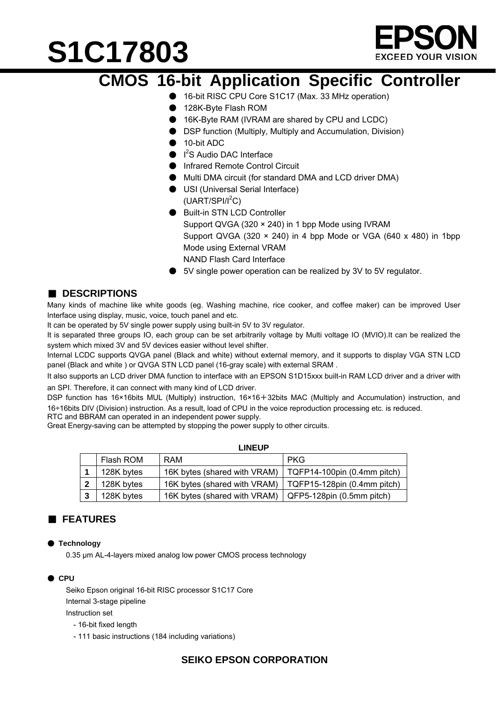

### **CMOS 16-bit Application Specific Controller**

- 16-bit RISC CPU Core S1C17 (Max. 33 MHz operation)
- 128K-Byte Flash ROM
- 16K-Byte RAM (IVRAM are shared by CPU and LCDC)
- DSP function (Multiply, Multiply and Accumulation, Division)
- 10-bit ADC
- I<sup>2</sup>S Audio DAC Interface
- **Infrared Remote Control Circuit**
- Multi DMA circuit (for standard DMA and LCD driver DMA)
- USI (Universal Serial Interface)  $(UART/SPI/I<sup>2</sup>C)$
- Built-in STN LCD Controller Support QVGA (320 × 240) in 1 bpp Mode using IVRAM Support QVGA (320  $\times$  240) in 4 bpp Mode or VGA (640  $\times$  480) in 1bpp Mode using External VRAM NAND Flash Card Interface
- 5V single power operation can be realized by 3V to 5V regulator.

#### ■ **DESCRIPTIONS**

Many kinds of machine like white goods (eg. Washing machine, rice cooker, and coffee maker) can be improved User Interface using display, music, voice, touch panel and etc.

It can be operated by 5V single power supply using built-in 5V to 3V regulator.

It is separated three groups IO, each group can be set arbitrarily voltage by Multi voltage IO (MVIO).It can be realized the system which mixed 3V and 5V devices easier without level shifter.

Internal LCDC supports QVGA panel (Black and white) without external memory, and it supports to display VGA STN LCD panel (Black and white ) or QVGA STN LCD panel (16-gray scale) with external SRAM .

It also supports an LCD driver DMA function to interface with an EPSON S1D15xxx built-in RAM LCD driver and a driver with an SPI. Therefore, it can connect with many kind of LCD driver.

DSP function has 16×16bits MUL (Multiply) instruction, 16×16+32bits MAC (Multiply and Accumulation) instruction, and 16÷16bits DIV (Division) instruction. As a result, load of CPU in the voice reproduction processing etc. is reduced.

**LINEUP** 

RTC and BBRAM can operated in an independent power supply.

Great Energy-saving can be attempted by stopping the power supply to other circuits.

| ----- |            |                              |                                     |  |
|-------|------------|------------------------------|-------------------------------------|--|
|       | Flash ROM  | RAM                          | <b>PKG</b>                          |  |
|       | 128K bytes | 16K bytes (shared with VRAM) | TQFP14-100pin (0.4mm pitch)         |  |
|       | 128K bytes | 16K bytes (shared with VRAM) | $\mid$ TQFP15-128pin (0.4mm pitch)  |  |
|       | 128K bytes | 16K bytes (shared with VRAM) | $\sqrt{QFP5-128}$ pin (0.5mm pitch) |  |

#### ■ **FEATURES**

#### ● **Technology**

0.35 μm AL-4-layers mixed analog low power CMOS process technology

#### ● **CPU**

Seiko Epson original 16-bit RISC processor S1C17 Core Internal 3-stage pipeline Instruction set - 16-bit fixed length

- 
- 111 basic instructions (184 including variations)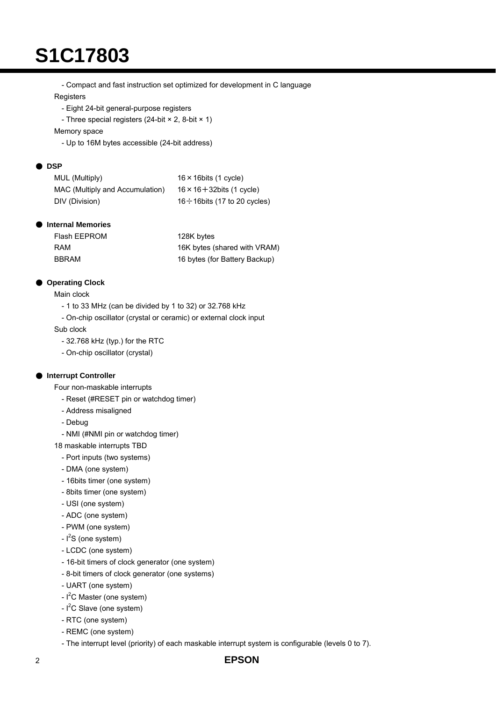- Compact and fast instruction set optimized for development in C language

**Registers** 

- Eight 24-bit general-purpose registers

- Three special registers (24-bit × 2, 8-bit × 1)

Memory space

- Up to 16M bytes accessible (24-bit address)

#### ● **DSP**

| MUL (Multiply)                  | $16 \times 16$ bits (1 cycle)       |
|---------------------------------|-------------------------------------|
| MAC (Multiply and Accumulation) | $16 \times 16 + 32$ bits (1 cycle)  |
| DIV (Division)                  | $16 \div 16$ bits (17 to 20 cycles) |

#### ● **Internal Memories**

| Flash EEPROM | 128K bytes                    |
|--------------|-------------------------------|
| RAM          | 16K bytes (shared with VRAM)  |
| <b>BBRAM</b> | 16 bytes (for Battery Backup) |

#### **Operating Clock**

Main clock

- 1 to 33 MHz (can be divided by 1 to 32) or 32.768 kHz
- On-chip oscillator (crystal or ceramic) or external clock input

Sub clock

- 32.768 kHz (typ.) for the RTC
- On-chip oscillator (crystal)

#### ● **Interrupt Controller**

Four non-maskable interrupts

- Reset (#RESET pin or watchdog timer)
- Address misaligned
- Debug
- NMI (#NMI pin or watchdog timer)
- 18 maskable interrupts TBD
	- Port inputs (two systems)
	- DMA (one system)
	- 16bits timer (one system)
	- 8bits timer (one system)
	- USI (one system)
	- ADC (one system)
	- PWM (one system)
	- $-1<sup>2</sup>S$  (one system)
	- LCDC (one system)
	- 16-bit timers of clock generator (one system)
	- 8-bit timers of clock generator (one systems)
	- UART (one system)
	- I<sup>2</sup>C Master (one system)
	- $-I<sup>2</sup>C$  Slave (one system)
	- RTC (one system)
	- REMC (one system)
	- The interrupt level (priority) of each maskable interrupt system is configurable (levels 0 to 7).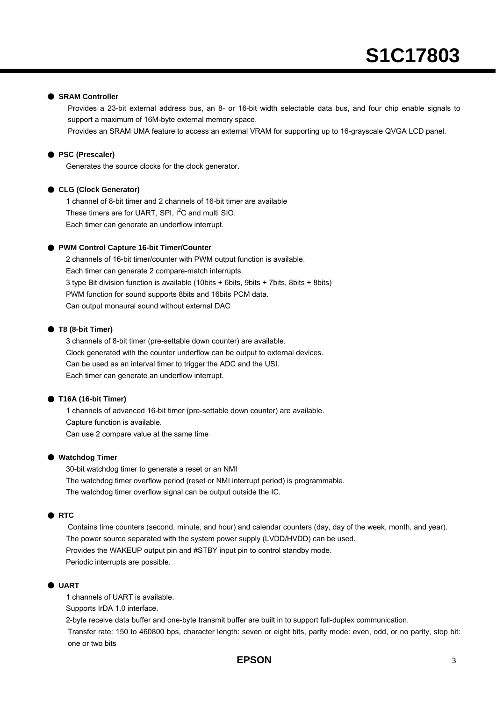#### ● **SRAM Controller**

Provides a 23-bit external address bus, an 8- or 16-bit width selectable data bus, and four chip enable signals to support a maximum of 16M-byte external memory space.

Provides an SRAM UMA feature to access an external VRAM for supporting up to 16-grayscale QVGA LCD panel.

#### ● **PSC (Prescaler)**

Generates the source clocks for the clock generator.

#### ● **CLG (Clock Generator)**

1 channel of 8-bit timer and 2 channels of 16-bit timer are available These timers are for UART, SPI,  $I^2C$  and multi SIO. Each timer can generate an underflow interrupt.

#### ● PWM Control Capture 16-bit Timer/Counter

2 channels of 16-bit timer/counter with PWM output function is available. Each timer can generate 2 compare-match interrupts. 3 type Bit division function is available (10bits + 6bits, 9bits + 7bits, 8bits + 8bits) PWM function for sound supports 8bits and 16bits PCM data. Can output monaural sound without external DAC

#### ● **T8 (8-bit Timer)**

3 channels of 8-bit timer (pre-settable down counter) are available. Clock generated with the counter underflow can be output to external devices. Can be used as an interval timer to trigger the ADC and the USI. Each timer can generate an underflow interrupt.

#### ● **T16A (16-bit Timer)**

1 channels of advanced 16-bit timer (pre-settable down counter) are available. Capture function is available. Can use 2 compare value at the same time

#### ● **Watchdog Timer**

30-bit watchdog timer to generate a reset or an NMI The watchdog timer overflow period (reset or NMI interrupt period) is programmable. The watchdog timer overflow signal can be output outside the IC.

#### ● **RTC**

Contains time counters (second, minute, and hour) and calendar counters (day, day of the week, month, and year). The power source separated with the system power supply (LVDD/HVDD) can be used. Provides the WAKEUP output pin and #STBY input pin to control standby mode. Periodic interrupts are possible.

#### ● **UART**

1 channels of UART is available.

Supports IrDA 1.0 interface.

2-byte receive data buffer and one-byte transmit buffer are built in to support full-duplex communication.

Transfer rate: 150 to 460800 bps, character length: seven or eight bits, parity mode: even, odd, or no parity, stop bit: one or two bits

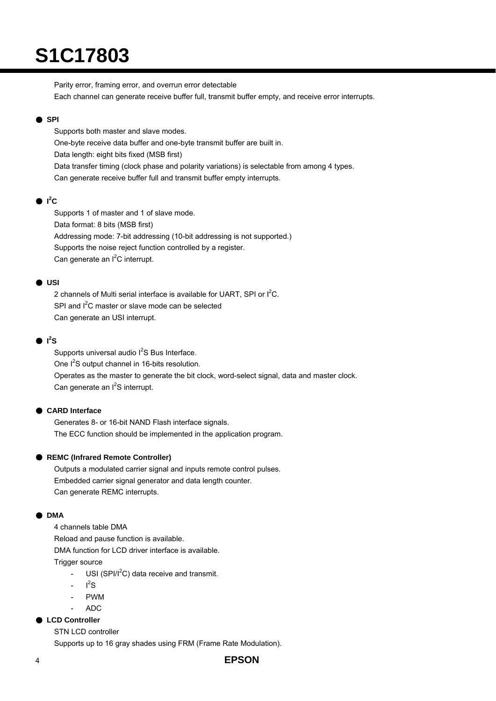Parity error, framing error, and overrun error detectable Each channel can generate receive buffer full, transmit buffer empty, and receive error interrupts.

#### ● **SPI**

Supports both master and slave modes. One-byte receive data buffer and one-byte transmit buffer are built in. Data length: eight bits fixed (MSB first) Data transfer timing (clock phase and polarity variations) is selectable from among 4 types. Can generate receive buffer full and transmit buffer empty interrupts.

#### $\bullet$  I<sup>2</sup>C

Supports 1 of master and 1 of slave mode. Data format: 8 bits (MSB first) Addressing mode: 7-bit addressing (10-bit addressing is not supported.) Supports the noise reject function controlled by a register. Can generate an l<sup>2</sup>C interrupt.

#### ● **USI**

2 channels of Multi serial interface is available for UART, SPI or I<sup>2</sup>C. SPI and  $I^2C$  master or slave mode can be selected Can generate an USI interrupt.

#### $\bullet$   $I^2S$

Supports universal audio l<sup>2</sup>S Bus Interface. One  $I^2S$  output channel in 16-bits resolution. Operates as the master to generate the bit clock, word-select signal, data and master clock. Can generate an l<sup>2</sup>S interrupt.

#### ● **CARD Interface**

Generates 8- or 16-bit NAND Flash interface signals. The ECC function should be implemented in the application program.

#### ● **REMC (Infrared Remote Controller)**

Outputs a modulated carrier signal and inputs remote control pulses. Embedded carrier signal generator and data length counter. Can generate REMC interrupts.

#### ● **DMA**

4 channels table DMA Reload and pause function is available. DMA function for LCD driver interface is available. Trigger source

- USI (SPI/I<sup>2</sup>C) data receive and transmit.
- $I^2S$
- PWM
- ADC

#### ● **LCD Controller**

STN LCD controller

Supports up to 16 gray shades using FRM (Frame Rate Modulation).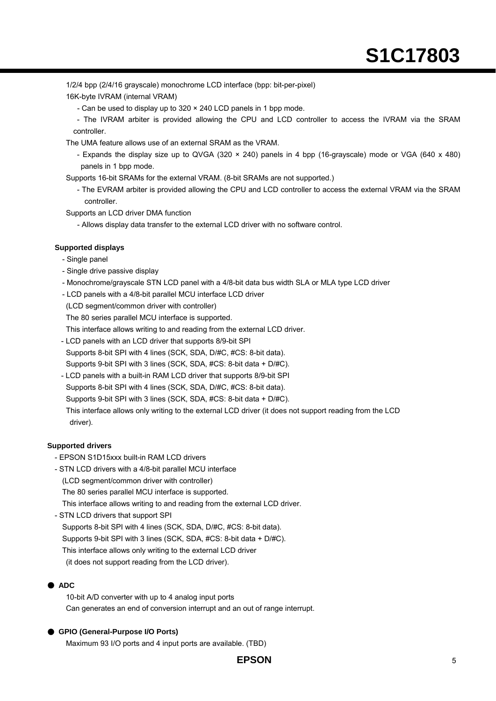1/2/4 bpp (2/4/16 grayscale) monochrome LCD interface (bpp: bit-per-pixel)

16K-byte IVRAM (internal VRAM)

- Can be used to display up to 320 × 240 LCD panels in 1 bpp mode.

- The IVRAM arbiter is provided allowing the CPU and LCD controller to access the IVRAM via the SRAM controller.

The UMA feature allows use of an external SRAM as the VRAM.

- Expands the display size up to QVGA (320 × 240) panels in 4 bpp (16-grayscale) mode or VGA (640 x 480) panels in 1 bpp mode.
- Supports 16-bit SRAMs for the external VRAM. (8-bit SRAMs are not supported.)
	- The EVRAM arbiter is provided allowing the CPU and LCD controller to access the external VRAM via the SRAM controller.

Supports an LCD driver DMA function

- Allows display data transfer to the external LCD driver with no software control.

#### **Supported displays**

- Single panel
- Single drive passive display
- Monochrome/grayscale STN LCD panel with a 4/8-bit data bus width SLA or MLA type LCD driver
- LCD panels with a 4/8-bit parallel MCU interface LCD driver
- (LCD segment/common driver with controller)
- The 80 series parallel MCU interface is supported.
- This interface allows writing to and reading from the external LCD driver.
- LCD panels with an LCD driver that supports 8/9-bit SPI
- Supports 8-bit SPI with 4 lines (SCK, SDA, D/#C, #CS: 8-bit data).
- Supports 9-bit SPI with 3 lines (SCK, SDA, #CS: 8-bit data + D/#C).
- LCD panels with a built-in RAM LCD driver that supports 8/9-bit SPI
- Supports 8-bit SPI with 4 lines (SCK, SDA, D/#C, #CS: 8-bit data).
- Supports 9-bit SPI with 3 lines (SCK, SDA, #CS: 8-bit data + D/#C).

This interface allows only writing to the external LCD driver (it does not support reading from the LCD driver).

#### **Supported drivers**

- EPSON S1D15xxx built-in RAM LCD drivers
- STN LCD drivers with a 4/8-bit parallel MCU interface
	- (LCD segment/common driver with controller)

The 80 series parallel MCU interface is supported.

This interface allows writing to and reading from the external LCD driver.

- STN LCD drivers that support SPI

Supports 8-bit SPI with 4 lines (SCK, SDA, D/#C, #CS: 8-bit data). Supports 9-bit SPI with 3 lines (SCK, SDA, #CS: 8-bit data + D/#C).

This interface allows only writing to the external LCD driver

(it does not support reading from the LCD driver).

#### ● **ADC**

10-bit A/D converter with up to 4 analog input ports Can generates an end of conversion interrupt and an out of range interrupt.

#### ● GPIO (General-Purpose I/O Ports)

Maximum 93 I/O ports and 4 input ports are available. (TBD)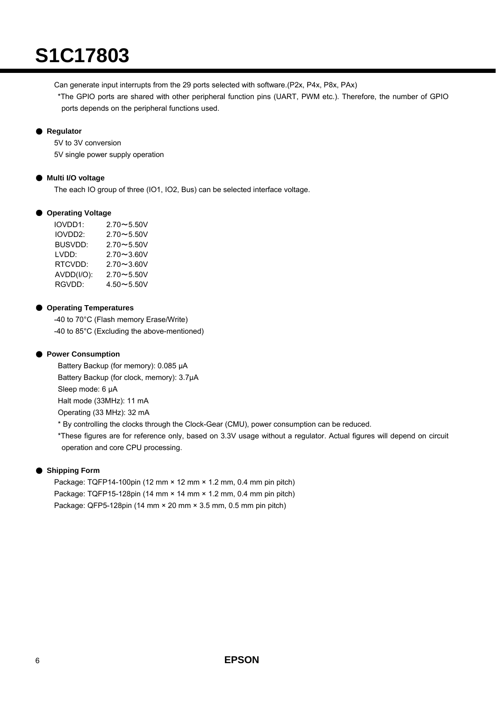Can generate input interrupts from the 29 ports selected with software.(P2x, P4x, P8x, PAx)

 \*The GPIO ports are shared with other peripheral function pins (UART, PWM etc.). Therefore, the number of GPIO ports depends on the peripheral functions used.

#### ● **Regulator**

5V to 3V conversion 5V single power supply operation

#### ● **Multi I/O voltage**

The each IO group of three (IO1, IO2, Bus) can be selected interface voltage.

#### ● **Operating Voltage**

| IOVDD1:        | $2.70 - 5.50V$ |
|----------------|----------------|
| IOVDD2:        | $2.70 - 5.50V$ |
| <b>BUSVDD:</b> | $2.70 - 5.50V$ |
| LVDD:          | $2.70 - 3.60V$ |
| RTCVDD:        | $2.70 - 3.60V$ |
| AVDD(I/O):     | $2.70 - 5.50V$ |
| RGVDD:         | $4.50 - 5.50V$ |

#### ● **Operating Temperatures**

-40 to 70°C (Flash memory Erase/Write) -40 to 85°C (Excluding the above-mentioned)

#### ● **Power Consumption**

Battery Backup (for memory): 0.085 µA Battery Backup (for clock, memory): 3.7µA Sleep mode: 6 µA Halt mode (33MHz): 11 mA Operating (33 MHz): 32 mA

\* By controlling the clocks through the Clock-Gear (CMU), power consumption can be reduced.

\*These figures are for reference only, based on 3.3V usage without a regulator. Actual figures will depend on circuit operation and core CPU processing.

#### ● Shipping Form

Package: TQFP14-100pin (12 mm × 12 mm × 1.2 mm, 0.4 mm pin pitch) Package: TQFP15-128pin (14 mm × 14 mm × 1.2 mm, 0.4 mm pin pitch) Package: QFP5-128pin (14 mm × 20 mm × 3.5 mm, 0.5 mm pin pitch)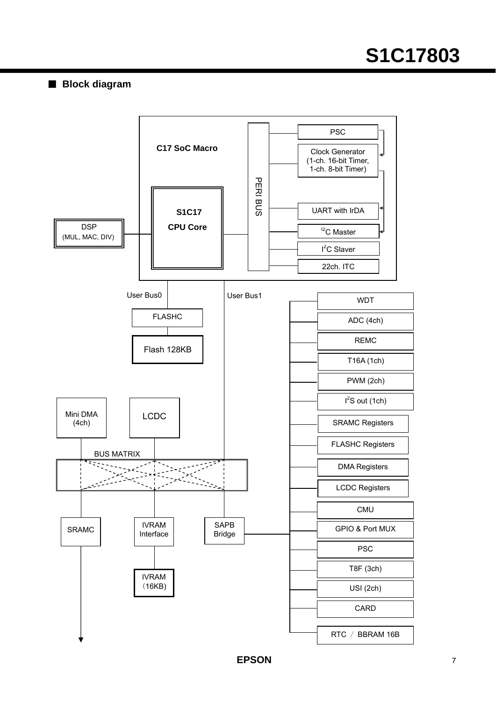#### ■ **Block diagram**